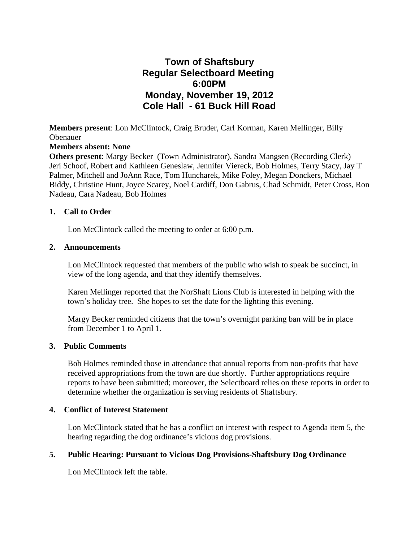# **Town of Shaftsbury Regular Selectboard Meeting 6:00PM Monday, November 19, 2012 Cole Hall - 61 Buck Hill Road**

**Members present**: Lon McClintock, Craig Bruder, Carl Korman, Karen Mellinger, Billy Obenauer

## **Members absent: None**

**Others present**: Margy Becker (Town Administrator), Sandra Mangsen (Recording Clerk) Jeri Schoof, Robert and Kathleen Geneslaw, Jennifer Viereck, Bob Holmes, Terry Stacy, Jay T Palmer, Mitchell and JoAnn Race, Tom Huncharek, Mike Foley, Megan Donckers, Michael Biddy, Christine Hunt, Joyce Scarey, Noel Cardiff, Don Gabrus, Chad Schmidt, Peter Cross, Ron Nadeau, Cara Nadeau, Bob Holmes

### **1. Call to Order**

Lon McClintock called the meeting to order at 6:00 p.m.

## **2. Announcements**

Lon McClintock requested that members of the public who wish to speak be succinct, in view of the long agenda, and that they identify themselves.

Karen Mellinger reported that the NorShaft Lions Club is interested in helping with the town's holiday tree. She hopes to set the date for the lighting this evening.

Margy Becker reminded citizens that the town's overnight parking ban will be in place from December 1 to April 1.

### **3. Public Comments**

Bob Holmes reminded those in attendance that annual reports from non-profits that have received appropriations from the town are due shortly. Further appropriations require reports to have been submitted; moreover, the Selectboard relies on these reports in order to determine whether the organization is serving residents of Shaftsbury.

# **4. Conflict of Interest Statement**

Lon McClintock stated that he has a conflict on interest with respect to Agenda item 5, the hearing regarding the dog ordinance's vicious dog provisions.

# **5. Public Hearing: Pursuant to Vicious Dog Provisions-Shaftsbury Dog Ordinance**

Lon McClintock left the table.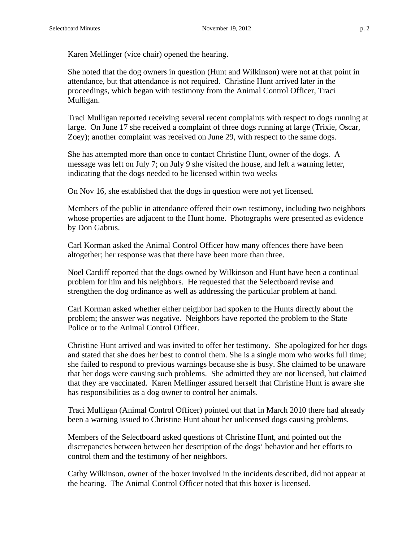Karen Mellinger (vice chair) opened the hearing.

She noted that the dog owners in question (Hunt and Wilkinson) were not at that point in attendance, but that attendance is not required. Christine Hunt arrived later in the proceedings, which began with testimony from the Animal Control Officer, Traci Mulligan.

Traci Mulligan reported receiving several recent complaints with respect to dogs running at large. On June 17 she received a complaint of three dogs running at large (Trixie, Oscar, Zoey); another complaint was received on June 29, with respect to the same dogs.

She has attempted more than once to contact Christine Hunt, owner of the dogs. A message was left on July 7; on July 9 she visited the house, and left a warning letter, indicating that the dogs needed to be licensed within two weeks

On Nov 16, she established that the dogs in question were not yet licensed.

Members of the public in attendance offered their own testimony, including two neighbors whose properties are adjacent to the Hunt home. Photographs were presented as evidence by Don Gabrus.

Carl Korman asked the Animal Control Officer how many offences there have been altogether; her response was that there have been more than three.

Noel Cardiff reported that the dogs owned by Wilkinson and Hunt have been a continual problem for him and his neighbors. He requested that the Selectboard revise and strengthen the dog ordinance as well as addressing the particular problem at hand.

Carl Korman asked whether either neighbor had spoken to the Hunts directly about the problem; the answer was negative. Neighbors have reported the problem to the State Police or to the Animal Control Officer.

Christine Hunt arrived and was invited to offer her testimony. She apologized for her dogs and stated that she does her best to control them. She is a single mom who works full time; she failed to respond to previous warnings because she is busy. She claimed to be unaware that her dogs were causing such problems. She admitted they are not licensed, but claimed that they are vaccinated. Karen Mellinger assured herself that Christine Hunt is aware she has responsibilities as a dog owner to control her animals.

Traci Mulligan (Animal Control Officer) pointed out that in March 2010 there had already been a warning issued to Christine Hunt about her unlicensed dogs causing problems.

Members of the Selectboard asked questions of Christine Hunt, and pointed out the discrepancies between between her description of the dogs' behavior and her efforts to control them and the testimony of her neighbors.

Cathy Wilkinson, owner of the boxer involved in the incidents described, did not appear at the hearing. The Animal Control Officer noted that this boxer is licensed.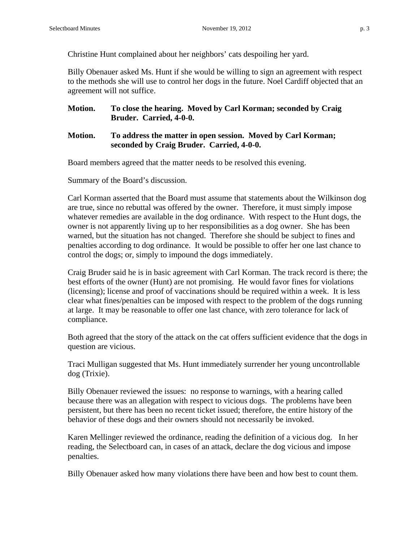Christine Hunt complained about her neighbors' cats despoiling her yard.

Billy Obenauer asked Ms. Hunt if she would be willing to sign an agreement with respect to the methods she will use to control her dogs in the future. Noel Cardiff objected that an agreement will not suffice.

**Motion. To close the hearing. Moved by Carl Korman; seconded by Craig Bruder. Carried, 4-0-0.**

## **Motion. To address the matter in open session. Moved by Carl Korman; seconded by Craig Bruder. Carried, 4-0-0.**

Board members agreed that the matter needs to be resolved this evening.

Summary of the Board's discussion.

Carl Korman asserted that the Board must assume that statements about the Wilkinson dog are true, since no rebuttal was offered by the owner. Therefore, it must simply impose whatever remedies are available in the dog ordinance. With respect to the Hunt dogs, the owner is not apparently living up to her responsibilities as a dog owner. She has been warned, but the situation has not changed. Therefore she should be subject to fines and penalties according to dog ordinance. It would be possible to offer her one last chance to control the dogs; or, simply to impound the dogs immediately.

Craig Bruder said he is in basic agreement with Carl Korman. The track record is there; the best efforts of the owner (Hunt) are not promising. He would favor fines for violations (licensing); license and proof of vaccinations should be required within a week. It is less clear what fines/penalties can be imposed with respect to the problem of the dogs running at large. It may be reasonable to offer one last chance, with zero tolerance for lack of compliance.

Both agreed that the story of the attack on the cat offers sufficient evidence that the dogs in question are vicious.

Traci Mulligan suggested that Ms. Hunt immediately surrender her young uncontrollable dog (Trixie).

Billy Obenauer reviewed the issues: no response to warnings, with a hearing called because there was an allegation with respect to vicious dogs. The problems have been persistent, but there has been no recent ticket issued; therefore, the entire history of the behavior of these dogs and their owners should not necessarily be invoked.

Karen Mellinger reviewed the ordinance, reading the definition of a vicious dog. In her reading, the Selectboard can, in cases of an attack, declare the dog vicious and impose penalties.

Billy Obenauer asked how many violations there have been and how best to count them.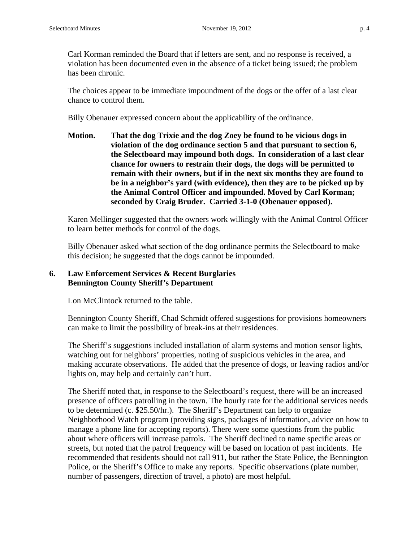Carl Korman reminded the Board that if letters are sent, and no response is received, a violation has been documented even in the absence of a ticket being issued; the problem has been chronic.

The choices appear to be immediate impoundment of the dogs or the offer of a last clear chance to control them.

Billy Obenauer expressed concern about the applicability of the ordinance.

**Motion. That the dog Trixie and the dog Zoey be found to be vicious dogs in violation of the dog ordinance section 5 and that pursuant to section 6, the Selectboard may impound both dogs. In consideration of a last clear chance for owners to restrain their dogs, the dogs will be permitted to remain with their owners, but if in the next six months they are found to be in a neighbor's yard (with evidence), then they are to be picked up by the Animal Control Officer and impounded. Moved by Carl Korman; seconded by Craig Bruder. Carried 3-1-0 (Obenauer opposed).**

Karen Mellinger suggested that the owners work willingly with the Animal Control Officer to learn better methods for control of the dogs.

Billy Obenauer asked what section of the dog ordinance permits the Selectboard to make this decision; he suggested that the dogs cannot be impounded.

# **6. Law Enforcement Services & Recent Burglaries Bennington County Sheriff's Department**

Lon McClintock returned to the table.

Bennington County Sheriff, Chad Schmidt offered suggestions for provisions homeowners can make to limit the possibility of break-ins at their residences.

The Sheriff's suggestions included installation of alarm systems and motion sensor lights, watching out for neighbors' properties, noting of suspicious vehicles in the area, and making accurate observations. He added that the presence of dogs, or leaving radios and/or lights on, may help and certainly can't hurt.

The Sheriff noted that, in response to the Selectboard's request, there will be an increased presence of officers patrolling in the town. The hourly rate for the additional services needs to be determined (c. \$25.50/hr.). The Sheriff's Department can help to organize Neighborhood Watch program (providing signs, packages of information, advice on how to manage a phone line for accepting reports). There were some questions from the public about where officers will increase patrols. The Sheriff declined to name specific areas or streets, but noted that the patrol frequency will be based on location of past incidents. He recommended that residents should not call 911, but rather the State Police, the Bennington Police, or the Sheriff's Office to make any reports. Specific observations (plate number, number of passengers, direction of travel, a photo) are most helpful.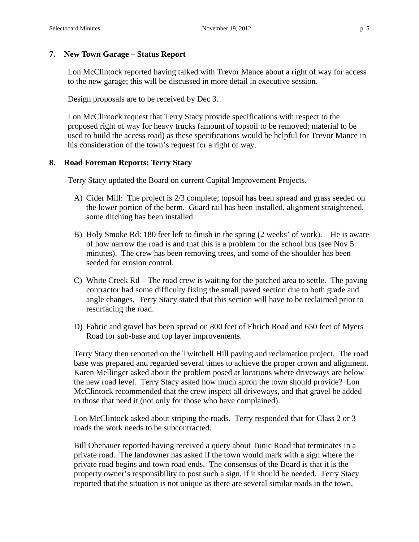## **7. New Town Garage – Status Report**

Lon McClintock reported having talked with Trevor Mance about a right of way for access to the new garage; this will be discussed in more detail in executive session.

Design proposals are to be received by Dec 3.

Lon McClintock request that Terry Stacy provide specifications with respect to the proposed right of way for heavy trucks (amount of topsoil to be removed; material to be used to build the access road) as these specifications would be helpful for Trevor Mance in his consideration of the town's request for a right of way.

## **8. Road Foreman Reports: Terry Stacy**

Terry Stacy updated the Board on current Capital Improvement Projects.

- A) Cider Mill: The project is 2/3 complete; topsoil has been spread and grass seeded on the lower portion of the berm. Guard rail has been installed, alignment straightened, some ditching has been installed.
- B) Holy Smoke Rd: 180 feet left to finish in the spring (2 weeks' of work). He is aware of how narrow the road is and that this is a problem for the school bus (see Nov 5 minutes). The crew has been removing trees, and some of the shoulder has been seeded for erosion control.
- C) White Creek Rd The road crew is waiting for the patched area to settle. The paving contractor had some difficulty fixing the small paved section due to both grade and angle changes. Terry Stacy stated that this section will have to be reclaimed prior to resurfacing the road.
- D) Fabric and gravel has been spread on 800 feet of Ehrich Road and 650 feet of Myers Road for sub-base and top layer improvements.

Terry Stacy then reported on the Twitchell Hill paving and reclamation project. The road base was prepared and regarded several times to achieve the proper crown and alignment. Karen Mellinger asked about the problem posed at locations where driveways are below the new road level. Terry Stacy asked how much apron the town should provide? Lon McClintock recommended that the crew inspect all driveways, and that gravel be added to those that need it (not only for those who have complained).

Lon McClintock asked about striping the roads. Terry responded that for Class 2 or 3 roads the work needs to be subcontracted.

Bill Obenauer reported having received a query about Tunic Road that terminates in a private road. The landowner has asked if the town would mark with a sign where the private road begins and town road ends. The consensus of the Board is that it is the property owner's responsibility to post such a sign, if it should be needed. Terry Stacy reported that the situation is not unique as there are several similar roads in the town.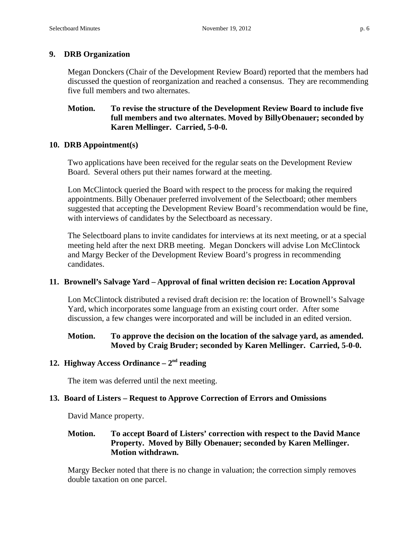## **9. DRB Organization**

Megan Donckers (Chair of the Development Review Board) reported that the members had discussed the question of reorganization and reached a consensus. They are recommending five full members and two alternates.

## **Motion. To revise the structure of the Development Review Board to include five full members and two alternates. Moved by BillyObenauer; seconded by Karen Mellinger. Carried, 5-0-0.**

### **10. DRB Appointment(s)**

Two applications have been received for the regular seats on the Development Review Board. Several others put their names forward at the meeting.

Lon McClintock queried the Board with respect to the process for making the required appointments. Billy Obenauer preferred involvement of the Selectboard; other members suggested that accepting the Development Review Board's recommendation would be fine, with interviews of candidates by the Selectboard as necessary.

The Selectboard plans to invite candidates for interviews at its next meeting, or at a special meeting held after the next DRB meeting. Megan Donckers will advise Lon McClintock and Margy Becker of the Development Review Board's progress in recommending candidates.

### **11. Brownell's Salvage Yard – Approval of final written decision re: Location Approval**

Lon McClintock distributed a revised draft decision re: the location of Brownell's Salvage Yard, which incorporates some language from an existing court order. After some discussion, a few changes were incorporated and will be included in an edited version.

## **Motion. To approve the decision on the location of the salvage yard, as amended. Moved by Craig Bruder; seconded by Karen Mellinger. Carried, 5-0-0.**

## **12. Highway Access Ordinance – 2nd reading**

The item was deferred until the next meeting.

### **13. Board of Listers – Request to Approve Correction of Errors and Omissions**

David Mance property.

## **Motion. To accept Board of Listers' correction with respect to the David Mance Property. Moved by Billy Obenauer; seconded by Karen Mellinger. Motion withdrawn.**

Margy Becker noted that there is no change in valuation; the correction simply removes double taxation on one parcel.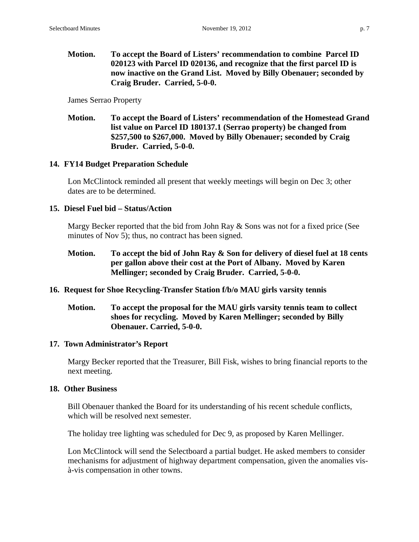**Motion. To accept the Board of Listers' recommendation to combine Parcel ID 020123 with Parcel ID 020136, and recognize that the first parcel ID is now inactive on the Grand List. Moved by Billy Obenauer; seconded by Craig Bruder. Carried, 5-0-0.**

James Serrao Property

## **Motion. To accept the Board of Listers' recommendation of the Homestead Grand list value on Parcel ID 180137.1 (Serrao property) be changed from \$257,500 to \$267,000. Moved by Billy Obenauer; seconded by Craig Bruder. Carried, 5-0-0.**

### **14. FY14 Budget Preparation Schedule**

Lon McClintock reminded all present that weekly meetings will begin on Dec 3; other dates are to be determined.

## **15. Diesel Fuel bid – Status/Action**

Margy Becker reported that the bid from John Ray & Sons was not for a fixed price (See minutes of Nov 5); thus, no contract has been signed.

**Motion. To accept the bid of John Ray & Son for delivery of diesel fuel at 18 cents per gallon above their cost at the Port of Albany. Moved by Karen Mellinger; seconded by Craig Bruder. Carried, 5-0-0.**

### **16. Request for Shoe Recycling-Transfer Station f/b/o MAU girls varsity tennis**

## **Motion. To accept the proposal for the MAU girls varsity tennis team to collect shoes for recycling. Moved by Karen Mellinger; seconded by Billy Obenauer. Carried, 5-0-0.**

### **17. Town Administrator's Report**

Margy Becker reported that the Treasurer, Bill Fisk, wishes to bring financial reports to the next meeting.

### **18. Other Business**

Bill Obenauer thanked the Board for its understanding of his recent schedule conflicts, which will be resolved next semester.

The holiday tree lighting was scheduled for Dec 9, as proposed by Karen Mellinger.

Lon McClintock will send the Selectboard a partial budget. He asked members to consider mechanisms for adjustment of highway department compensation, given the anomalies visà-vis compensation in other towns.